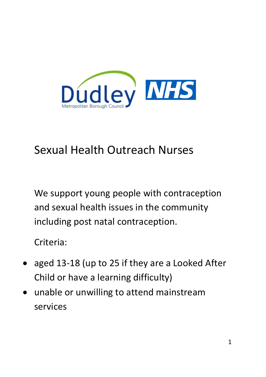

## Sexual Health Outreach Nurses

We support young people with contraception and sexual health issues in the community including post natal contraception.

Criteria:

- aged 13-18 (up to 25 if they are a Looked After Child or have a learning difficulty)
- unable or unwilling to attend mainstream services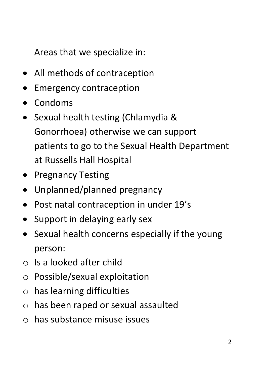Areas that we specialize in:

- All methods of contraception
- **Emergency contraception**
- Condoms
- Sexual health testing (Chlamydia & Gonorrhoea) otherwise we can support patients to go to the Sexual Health Department at Russells Hall Hospital
- Pregnancy Testing
- Unplanned/planned pregnancy
- Post natal contraception in under 19's
- Support in delaving early sex
- Sexual health concerns especially if the young person:
- $\circ$  Is a looked after child
- o Possible/sexual exploitation
- o has learning difficulties
- o has been raped or sexual assaulted
- o has substance misuse issues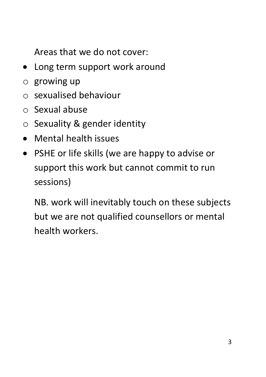Areas that we do not cover:

- Long term support work around
- $\circ$  growing up
- o sexualised behaviour
- o Sexual abuse
- o Sexuality & gender identity
- Mental health issues
- PSHE or life skills (we are happy to advise or support this work but cannot commit to run sessions)

NB. work will inevitably touch on these subjects but we are not qualified counsellors or mental health workers.